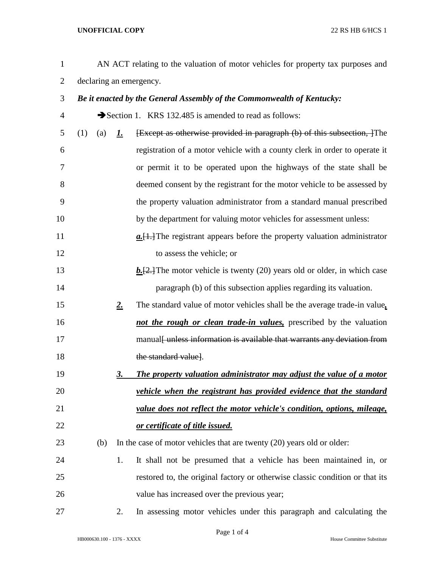## **UNOFFICIAL COPY** 22 RS HB 6/HCS 1

 AN ACT relating to the valuation of motor vehicles for property tax purposes and declaring an emergency. *Be it enacted by the General Assembly of the Commonwealth of Kentucky:* Section 1. KRS 132.485 is amended to read as follows: (1) (a) *1.* [Except as otherwise provided in paragraph (b) of this subsection, ]The registration of a motor vehicle with a county clerk in order to operate it or permit it to be operated upon the highways of the state shall be deemed consent by the registrant for the motor vehicle to be assessed by the property valuation administrator from a standard manual prescribed by the department for valuing motor vehicles for assessment unless: *a.*[1.]The registrant appears before the property valuation administrator to assess the vehicle; or **b.** E. The motor vehicle is twenty (20) years old or older, in which case paragraph (b) of this subsection applies regarding its valuation. *2.* The standard value of motor vehicles shall be the average trade-in value*, not the rough or clean trade-in values,* prescribed by the valuation 17 manual funces information is available that warrants any deviation from 18 the standard valuel. *3. The property valuation administrator may adjust the value of a motor vehicle when the registrant has provided evidence that the standard value does not reflect the motor vehicle's condition, options, mileage, or certificate of title issued.* (b) In the case of motor vehicles that are twenty (20) years old or older: 1. It shall not be presumed that a vehicle has been maintained in, or restored to, the original factory or otherwise classic condition or that its value has increased over the previous year; 2. In assessing motor vehicles under this paragraph and calculating the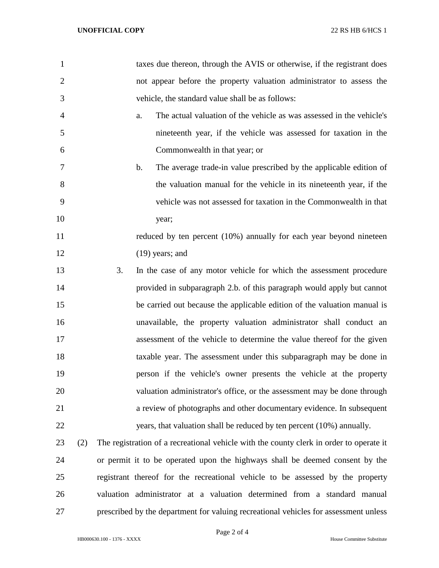| $\mathbf{1}$   |     |    |               | taxes due thereon, through the AVIS or otherwise, if the registrant does                |
|----------------|-----|----|---------------|-----------------------------------------------------------------------------------------|
| $\overline{2}$ |     |    |               | not appear before the property valuation administrator to assess the                    |
| 3              |     |    |               | vehicle, the standard value shall be as follows:                                        |
| 4              |     |    | a.            | The actual valuation of the vehicle as was assessed in the vehicle's                    |
| 5              |     |    |               | nineteenth year, if the vehicle was assessed for taxation in the                        |
| 6              |     |    |               | Commonwealth in that year; or                                                           |
| 7              |     |    | $\mathbf b$ . | The average trade-in value prescribed by the applicable edition of                      |
| 8              |     |    |               | the valuation manual for the vehicle in its nineteenth year, if the                     |
| 9              |     |    |               | vehicle was not assessed for taxation in the Commonwealth in that                       |
| 10             |     |    |               | year;                                                                                   |
| 11             |     |    |               | reduced by ten percent (10%) annually for each year beyond nineteen                     |
| 12             |     |    |               | $(19)$ years; and                                                                       |
| 13             |     | 3. |               | In the case of any motor vehicle for which the assessment procedure                     |
| 14             |     |    |               | provided in subparagraph 2.b. of this paragraph would apply but cannot                  |
| 15             |     |    |               | be carried out because the applicable edition of the valuation manual is                |
| 16             |     |    |               | unavailable, the property valuation administrator shall conduct an                      |
| 17             |     |    |               | assessment of the vehicle to determine the value thereof for the given                  |
| 18             |     |    |               | taxable year. The assessment under this subparagraph may be done in                     |
| 19             |     |    |               | person if the vehicle's owner presents the vehicle at the property                      |
| 20             |     |    |               | valuation administrator's office, or the assessment may be done through                 |
| 21             |     |    |               | a review of photographs and other documentary evidence. In subsequent                   |
| 22             |     |    |               | years, that valuation shall be reduced by ten percent (10%) annually.                   |
| 23             | (2) |    |               | The registration of a recreational vehicle with the county clerk in order to operate it |
| 24             |     |    |               | or permit it to be operated upon the highways shall be deemed consent by the            |
| 25             |     |    |               | registrant thereof for the recreational vehicle to be assessed by the property          |
| 26             |     |    |               | valuation administrator at a valuation determined from a standard manual                |
| 27             |     |    |               | prescribed by the department for valuing recreational vehicles for assessment unless    |

Page 2 of 4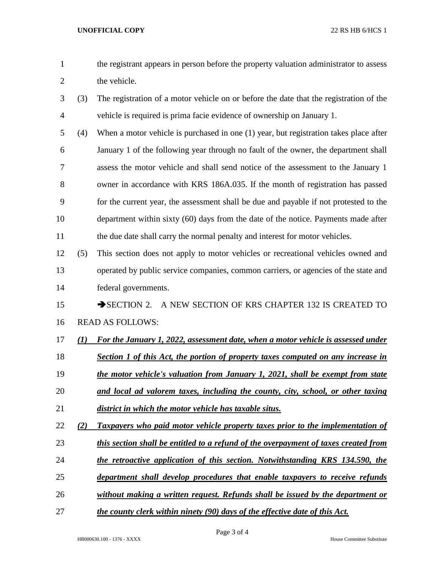- the registrant appears in person before the property valuation administrator to assess 2 the vehicle.
- (3) The registration of a motor vehicle on or before the date that the registration of the vehicle is required is prima facie evidence of ownership on January 1.
- (4) When a motor vehicle is purchased in one (1) year, but registration takes place after January 1 of the following year through no fault of the owner, the department shall assess the motor vehicle and shall send notice of the assessment to the January 1 owner in accordance with KRS 186A.035. If the month of registration has passed for the current year, the assessment shall be due and payable if not protested to the department within sixty (60) days from the date of the notice. Payments made after 11 the due date shall carry the normal penalty and interest for motor vehicles.
- (5) This section does not apply to motor vehicles or recreational vehicles owned and operated by public service companies, common carriers, or agencies of the state and federal governments.

## 15 SECTION 2. A NEW SECTION OF KRS CHAPTER 132 IS CREATED TO READ AS FOLLOWS:

- *(1) For the January 1, 2022, assessment date, when a motor vehicle is assessed under*
- *Section 1 of this Act, the portion of property taxes computed on any increase in*
- *the motor vehicle's valuation from January 1, 2021, shall be exempt from state and local ad valorem taxes, including the county, city, school, or other taxing*
- *district in which the motor vehicle has taxable situs.*
- *(2) Taxpayers who paid motor vehicle property taxes prior to the implementation of*
- *this section shall be entitled to a refund of the overpayment of taxes created from*
- *the retroactive application of this section. Notwithstanding KRS 134.590, the*
- *department shall develop procedures that enable taxpayers to receive refunds*
- *without making a written request. Refunds shall be issued by the department or*
- *the county clerk within ninety (90) days of the effective date of this Act.*